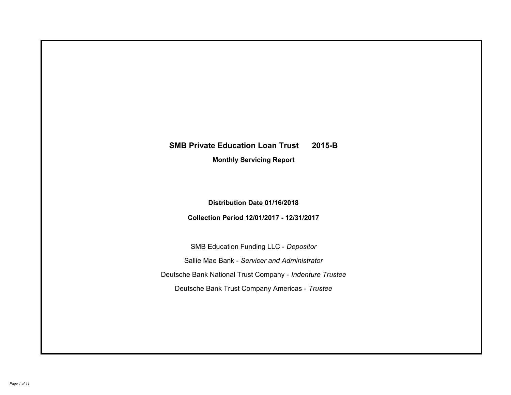# **SMB Private Education Loan Trust 2015-B Monthly Servicing Report**

### **Distribution Date 01/16/2018**

### **Collection Period 12/01/2017 - 12/31/2017**

SMB Education Funding LLC - *Depositor* Sallie Mae Bank - *Servicer and Administrator* Deutsche Bank National Trust Company - *Indenture Trustee* Deutsche Bank Trust Company Americas - *Trustee*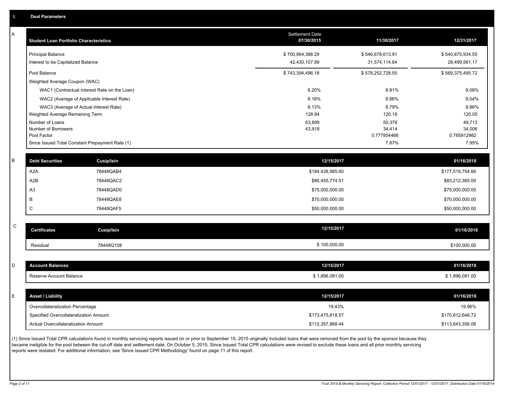| Α         | <b>Student Loan Portfolio Characteristics</b> |                                                 | Settlement Date<br>07/30/2015 | 11/30/2017            | 12/31/2017            |
|-----------|-----------------------------------------------|-------------------------------------------------|-------------------------------|-----------------------|-----------------------|
|           | <b>Principal Balance</b>                      |                                                 | \$700,964,388.29              | \$546,678,613.91      | \$540,875,934.55      |
|           | Interest to be Capitalized Balance            |                                                 | 42,430,107.89                 | 31,574,114.64         | 28,499,561.17         |
|           | Pool Balance                                  |                                                 | \$743,394,496.18              | \$578,252,728.55      | \$569,375,495.72      |
|           | Weighted Average Coupon (WAC)                 |                                                 |                               |                       |                       |
|           |                                               | WAC1 (Contractual Interest Rate on the Loan)    | 8.20%                         | 8.91%                 | 9.08%                 |
|           |                                               | WAC2 (Average of Applicable Interest Rate)      | 8.18%                         | 8.86%                 | 9.04%                 |
|           |                                               | WAC3 (Average of Actual Interest Rate)          | 8.13%                         | 8.79%                 | 8.96%                 |
|           | Weighted Average Remaining Term               |                                                 | 128.84                        | 120.18                | 120.05                |
|           | Number of Loans                               |                                                 | 63,899                        | 50,376                | 49,713                |
|           | Number of Borrowers<br>Pool Factor            |                                                 | 43,918                        | 34,414<br>0.777854466 | 34,006<br>0.765912982 |
|           |                                               | Since Issued Total Constant Prepayment Rate (1) |                               | 7.87%                 | 7.95%                 |
|           |                                               |                                                 |                               |                       |                       |
| В         | <b>Debt Securities</b>                        | Cusip/Isin                                      | 12/15/2017                    |                       | 01/16/2018            |
|           | A <sub>2</sub> A                              | 78448QAB4                                       | \$184,438,985.60              |                       | \$177,519,754.66      |
|           | A <sub>2</sub> B                              | 78448QAC2                                       | \$86,455,774.51               |                       | \$83,212,385.00       |
|           | A <sub>3</sub>                                | 78448QAD0                                       | \$75,000,000.00               |                       | \$75,000,000.00       |
|           | B                                             | 78448QAE8                                       | \$70,000,000.00               |                       | \$70,000,000.00       |
|           | $\mathsf C$                                   | 78448QAF5                                       | \$50,000,000.00               |                       | \$50,000,000.00       |
|           |                                               |                                                 |                               |                       |                       |
| ${\bf C}$ | <b>Certificates</b>                           | <b>Cusip/Isin</b>                               | 12/15/2017                    |                       | 01/16/2018            |
|           | Residual                                      | 78448Q108                                       | \$100,000.00                  |                       | \$100,000.00          |
|           |                                               |                                                 |                               |                       |                       |
| D         | <b>Account Balances</b>                       |                                                 | 12/15/2017                    |                       | 01/16/2018            |
|           | Reserve Account Balance                       |                                                 | \$1,896,081.00                |                       | \$1,896,081.00        |
|           |                                               |                                                 |                               |                       |                       |
| E         | <b>Asset / Liability</b>                      |                                                 | 12/15/2017                    |                       | 01/16/2018            |
|           | Overcollateralization Percentage              |                                                 | 19.43%                        |                       | 19.96%                |
|           | Specified Overcollateralization Amount        |                                                 | \$173,475,818.57              |                       | \$170,812,648.72      |
|           | Actual Overcollateralization Amount           |                                                 | \$112,357,968.44              |                       | \$113,643,356.06      |
|           |                                               |                                                 |                               |                       |                       |

(1) Since Issued Total CPR calculations found in monthly servicing reports issued on or prior to September 15, 2015 originally included loans that were removed from the pool by the sponsor because they became ineligible for the pool between the cut-off date and settlement date. On October 5, 2015, Since Issued Total CPR calculations were revised to exclude these loans and all prior monthly servicing reports were restated. For additional information, see 'Since Issued CPR Methodology' found on page 11 of this report.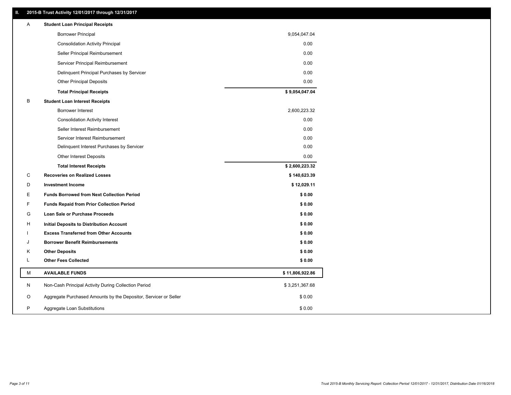### **II. 2015-B Trust Activity 12/01/2017 through 12/31/2017**

| Α | <b>Student Loan Principal Receipts</b>                           |                 |  |
|---|------------------------------------------------------------------|-----------------|--|
|   | <b>Borrower Principal</b>                                        | 9,054,047.04    |  |
|   | <b>Consolidation Activity Principal</b>                          | 0.00            |  |
|   | Seller Principal Reimbursement                                   | 0.00            |  |
|   | Servicer Principal Reimbursement                                 | 0.00            |  |
|   | Delinquent Principal Purchases by Servicer                       | 0.00            |  |
|   | <b>Other Principal Deposits</b>                                  | 0.00            |  |
|   | <b>Total Principal Receipts</b>                                  | \$9,054,047.04  |  |
| B | <b>Student Loan Interest Receipts</b>                            |                 |  |
|   | Borrower Interest                                                | 2,600,223.32    |  |
|   | <b>Consolidation Activity Interest</b>                           | 0.00            |  |
|   | Seller Interest Reimbursement                                    | 0.00            |  |
|   | Servicer Interest Reimbursement                                  | 0.00            |  |
|   | Delinquent Interest Purchases by Servicer                        | 0.00            |  |
|   | <b>Other Interest Deposits</b>                                   | 0.00            |  |
|   | <b>Total Interest Receipts</b>                                   | \$2,600,223.32  |  |
| C | <b>Recoveries on Realized Losses</b>                             | \$140,623.39    |  |
| D | <b>Investment Income</b>                                         | \$12,029.11     |  |
| Е | <b>Funds Borrowed from Next Collection Period</b>                | \$0.00          |  |
| F | <b>Funds Repaid from Prior Collection Period</b>                 | \$0.00          |  |
| G | Loan Sale or Purchase Proceeds                                   | \$0.00          |  |
| н | Initial Deposits to Distribution Account                         | \$0.00          |  |
|   | <b>Excess Transferred from Other Accounts</b>                    | \$0.00          |  |
| J | <b>Borrower Benefit Reimbursements</b>                           | \$0.00          |  |
| Κ | <b>Other Deposits</b>                                            | \$0.00          |  |
| Г | <b>Other Fees Collected</b>                                      | \$0.00          |  |
| м | <b>AVAILABLE FUNDS</b>                                           | \$11,806,922.86 |  |
| N | Non-Cash Principal Activity During Collection Period             | \$3,251,367.68  |  |
| O | Aggregate Purchased Amounts by the Depositor, Servicer or Seller | \$0.00          |  |
| P | Aggregate Loan Substitutions                                     | \$0.00          |  |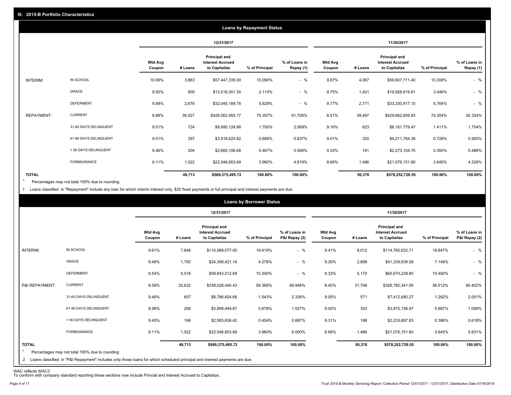|                   |                       |                          |         |                                                           | <b>Loans by Repayment Status</b> |                            |                          |         |                                                                  |                |                            |
|-------------------|-----------------------|--------------------------|---------|-----------------------------------------------------------|----------------------------------|----------------------------|--------------------------|---------|------------------------------------------------------------------|----------------|----------------------------|
|                   |                       |                          |         | 12/31/2017                                                |                                  |                            |                          |         | 11/30/2017                                                       |                |                            |
|                   |                       | <b>Wtd Avg</b><br>Coupon | # Loans | Principal and<br><b>Interest Accrued</b><br>to Capitalize | % of Principal                   | % of Loans in<br>Repay (1) | <b>Wtd Avg</b><br>Coupon | # Loans | <b>Principal and</b><br><b>Interest Accrued</b><br>to Capitalize | % of Principal | % of Loans in<br>Repay (1) |
| INTERIM:          | IN SCHOOL             | 10.06%                   | 3,863   | \$57,447,339.30                                           | 10.090%                          | $-$ %                      | 9.87%                    | 4,067   | \$59,607,711.40                                                  | 10.308%        | $-$ %                      |
|                   | GRACE                 | 9.92%                    | 900     | \$12,016,301.30                                           | 2.110%                           | $-$ %                      | 9.75%                    | 1,421   | \$19,928,619.81                                                  | 3.446%         | $-$ %                      |
|                   | <b>DEFERMENT</b>      | 9.99%                    | 2,676   | \$32,045,189.78                                           | 5.628%                           | $-$ %                      | 9.77%                    | 2,771   | \$33,330,917.15                                                  | 5.764%         | $-$ %                      |
| <b>REPAYMENT:</b> | <b>CURRENT</b>        | 8.68%                    | 39,527  | \$429,062,955.17                                          | 75.357%                          | 91.706%                    | 8.51%                    | 39,497  | \$429,662,659.83                                                 | 74.304%        | 92.324%                    |
|                   | 31-60 DAYS DELINQUENT | 9.51%                    | 724     | \$9,680,124.98                                            | 1.700%                           | 2.069%                     | 9.16%                    | 623     | \$8,161,779.47                                                   | 1.411%         | 1.754%                     |
|                   | 61-90 DAYS DELINQUENT | 9.01%                    | 297     | \$3,916,624.82                                            | 0.688%                           | 0.837%                     | 9.01%                    | 320     | \$4,211,784.39                                                   | 0.728%         | 0.905%                     |
|                   | > 90 DAYS DELINQUENT  | 9.46%                    | 204     | \$2,660,106.68                                            | 0.467%                           | 0.569%                     | 9.33%                    | 191     | \$2,273,104.70                                                   | 0.393%         | 0.488%                     |
|                   | FORBEARANCE           | 9.11%                    | 1,522   | \$22,546,853.69                                           | 3.960%                           | 4.819%                     | 8.68%                    | 1,486   | \$21,076,151.80                                                  | 3.645%         | 4.529%                     |
| <b>TOTAL</b>      |                       |                          | 49,713  | \$569,375,495.72                                          | 100.00%                          | 100.00%                    |                          | 50,376  | \$578,252,728.55                                                 | 100.00%        | 100.00%                    |

Percentages may not total 100% due to rounding \*

1 Loans classified in "Repayment" include any loan for which interim interest only, \$25 fixed payments or full principal and interest payments are due.

| 11/30/2017<br>12/31/2017<br>Principal and<br><b>Principal and</b><br><b>Wtd Avg</b><br><b>Interest Accrued</b><br>% of Loans in<br><b>Wtd Avg</b><br><b>Interest Accrued</b><br>to Capitalize<br>P&I Repay (2)<br>to Capitalize<br>% of Principal<br># Loans<br>% of Principal<br>Coupon<br>Coupon<br># Loans<br>IN SCHOOL<br>$-$ %<br>INTERIM:<br>9.61%<br>7,648<br>\$110,569,077.00<br>19.419%<br>9.41%<br>8,012<br>\$114,765,632.71<br>19.847%<br>GRACE<br>$-$ %<br>9.26%<br>9.48%<br>1,750<br>4.278%<br>2,898<br>7.149%<br>\$24,358,421.14<br>\$41,339,638.58<br><b>DEFERMENT</b><br>$-$ %<br>9.54%<br>5,018<br>10.300%<br>9.33%<br>5,170<br>\$58,643,012.69<br>\$60,670,238.80<br>10.492%<br><b>CURRENT</b><br>8.58%<br>32,632<br>59.368%<br>8.40%<br>P&I REPAYMENT:<br>\$338,028,440.43<br>31,748<br>\$326,782,341.59<br>56.512%<br>89.948% |                                |
|---------------------------------------------------------------------------------------------------------------------------------------------------------------------------------------------------------------------------------------------------------------------------------------------------------------------------------------------------------------------------------------------------------------------------------------------------------------------------------------------------------------------------------------------------------------------------------------------------------------------------------------------------------------------------------------------------------------------------------------------------------------------------------------------------------------------------------------------------|--------------------------------|
|                                                                                                                                                                                                                                                                                                                                                                                                                                                                                                                                                                                                                                                                                                                                                                                                                                                   |                                |
|                                                                                                                                                                                                                                                                                                                                                                                                                                                                                                                                                                                                                                                                                                                                                                                                                                                   | % of Loans in<br>P&I Repay (2) |
|                                                                                                                                                                                                                                                                                                                                                                                                                                                                                                                                                                                                                                                                                                                                                                                                                                                   | $-$ %                          |
|                                                                                                                                                                                                                                                                                                                                                                                                                                                                                                                                                                                                                                                                                                                                                                                                                                                   | $-$ %                          |
|                                                                                                                                                                                                                                                                                                                                                                                                                                                                                                                                                                                                                                                                                                                                                                                                                                                   | $-$ %                          |
|                                                                                                                                                                                                                                                                                                                                                                                                                                                                                                                                                                                                                                                                                                                                                                                                                                                   | 90.402%                        |
| 31-60 DAYS DELINQUENT<br>657<br>571<br>9.46%<br>1.543%<br>2.338%<br>9.05%<br>1.282%<br>\$8,786,604.68<br>\$7,412,680.27                                                                                                                                                                                                                                                                                                                                                                                                                                                                                                                                                                                                                                                                                                                           | 2.051%                         |
| 61-90 DAYS DELINQUENT<br>8.98%<br>290<br>0.678%<br>1.027%<br>9.00%<br>303<br>0.687%<br>\$3,859,449.67<br>\$3,972,156.97                                                                                                                                                                                                                                                                                                                                                                                                                                                                                                                                                                                                                                                                                                                           | 1.099%                         |
| > 90 DAYS DELINQUENT<br>9.45%<br>196<br>9.31%<br>188<br>\$2,583,636.42<br>0.454%<br>0.687%<br>\$2,233,887.83<br>0.386%                                                                                                                                                                                                                                                                                                                                                                                                                                                                                                                                                                                                                                                                                                                            | 0.618%                         |
| <b>FORBEARANCE</b><br>9.11%<br>1,522<br>3.960%<br>8.68%<br>6.000%<br>1,486<br>3.645%<br>\$22,546,853.69<br>\$21,076,151.80                                                                                                                                                                                                                                                                                                                                                                                                                                                                                                                                                                                                                                                                                                                        | 5.831%                         |
| <b>TOTAL</b><br>100.00%<br>100.00%<br>49,713<br>50,376<br>100.00%<br>\$569,375,495.72<br>\$578,252,728.55<br>$\star$<br>Percentages may not total 100% due to rounding<br>2 Loans classified in "P&I Repayment" includes only those loans for which scheduled principal and interest payments are due.                                                                                                                                                                                                                                                                                                                                                                                                                                                                                                                                            | 100.00%                        |

WAC reflects WAC3 To conform with company standard reporting these sections now include Princial and Interest Accrued to Capitalize.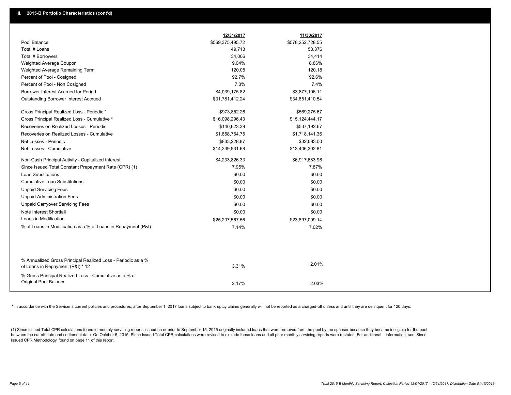|                                                                                                  | 12/31/2017       | 11/30/2017       |
|--------------------------------------------------------------------------------------------------|------------------|------------------|
| Pool Balance                                                                                     | \$569,375,495.72 | \$578,252,728.55 |
| Total # Loans                                                                                    | 49,713           | 50,376           |
| Total # Borrowers                                                                                | 34,006           | 34,414           |
| Weighted Average Coupon                                                                          | 9.04%            | 8.86%            |
| Weighted Average Remaining Term                                                                  | 120.05           | 120.18           |
| Percent of Pool - Cosigned                                                                       | 92.7%            | 92.6%            |
| Percent of Pool - Non Cosigned                                                                   | 7.3%             | 7.4%             |
| Borrower Interest Accrued for Period                                                             | \$4,039,175.82   | \$3,877,106.11   |
| <b>Outstanding Borrower Interest Accrued</b>                                                     | \$31,781,412.24  | \$34,651,410.54  |
| Gross Principal Realized Loss - Periodic *                                                       | \$973,852.26     | \$569,275.67     |
| Gross Principal Realized Loss - Cumulative *                                                     | \$16,098,296.43  | \$15,124,444.17  |
| Recoveries on Realized Losses - Periodic                                                         | \$140,623.39     | \$537,192.67     |
| Recoveries on Realized Losses - Cumulative                                                       | \$1,858,764.75   | \$1,718,141.36   |
| Net Losses - Periodic                                                                            | \$833,228.87     | \$32,083.00      |
| Net Losses - Cumulative                                                                          | \$14,239,531.68  | \$13,406,302.81  |
| Non-Cash Principal Activity - Capitalized Interest                                               | \$4,233,826.33   | \$6,917,683.96   |
| Since Issued Total Constant Prepayment Rate (CPR) (1)                                            | 7.95%            | 7.87%            |
| <b>Loan Substitutions</b>                                                                        | \$0.00           | \$0.00           |
| <b>Cumulative Loan Substitutions</b>                                                             | \$0.00           | \$0.00           |
| <b>Unpaid Servicing Fees</b>                                                                     | \$0.00           | \$0.00           |
| <b>Unpaid Administration Fees</b>                                                                | \$0.00           | \$0.00           |
| <b>Unpaid Carryover Servicing Fees</b>                                                           | \$0.00           | \$0.00           |
| Note Interest Shortfall                                                                          | \$0.00           | \$0.00           |
| Loans in Modification                                                                            | \$25,207,567.56  | \$23,897,099.14  |
| % of Loans in Modification as a % of Loans in Repayment (P&I)                                    | 7.14%            | 7.02%            |
|                                                                                                  |                  |                  |
| % Annualized Gross Principal Realized Loss - Periodic as a %<br>of Loans in Repayment (P&I) * 12 | 3.31%            | 2.01%            |
| % Gross Principal Realized Loss - Cumulative as a % of<br>Original Pool Balance                  | 2.17%            | 2.03%            |

\* In accordance with the Servicer's current policies and procedures, after September 1, 2017 loans subject to bankruptcy claims generally will not be reported as a charged-off unless and until they are delinquent for 120 d

(1) Since Issued Total CPR calculations found in monthly servicing reports issued on or prior to September 15, 2015 originally included loans that were removed from the pool by the sponsor because they became ineligible fo between the cut-off date and settlement date. On October 5, 2015, Since Issued Total CPR calculations were revised to exclude these loans and all prior monthly servicing reports were restated. For additional information, s Issued CPR Methodology' found on page 11 of this report.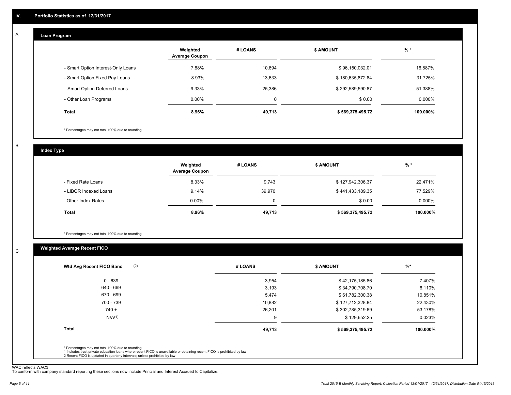#### **Loan Program**  A

|                                    | Weighted<br><b>Average Coupon</b> | # LOANS | <b>\$ AMOUNT</b> | $%$ *     |
|------------------------------------|-----------------------------------|---------|------------------|-----------|
| - Smart Option Interest-Only Loans | 7.88%                             | 10,694  | \$96,150,032.01  | 16.887%   |
| - Smart Option Fixed Pay Loans     | 8.93%                             | 13,633  | \$180,635,872.84 | 31.725%   |
| - Smart Option Deferred Loans      | 9.33%                             | 25,386  | \$292,589,590.87 | 51.388%   |
| - Other Loan Programs              | $0.00\%$                          | 0       | \$0.00           | $0.000\%$ |
| <b>Total</b>                       | 8.96%                             | 49,713  | \$569,375,495.72 | 100.000%  |

\* Percentages may not total 100% due to rounding

B

C

**Index Type**

|                       | Weighted<br><b>Average Coupon</b> | # LOANS | <b>S AMOUNT</b>  | $%$ *     |
|-----------------------|-----------------------------------|---------|------------------|-----------|
| - Fixed Rate Loans    | 8.33%                             | 9,743   | \$127,942,306.37 | 22.471%   |
| - LIBOR Indexed Loans | 9.14%                             | 39,970  | \$441,433,189.35 | 77.529%   |
| - Other Index Rates   | $0.00\%$                          |         | \$0.00           | $0.000\%$ |
| <b>Total</b>          | 8.96%                             | 49,713  | \$569,375,495.72 | 100.000%  |

\* Percentages may not total 100% due to rounding

### **Weighted Average Recent FICO**

| 3,954<br>3,193<br>5,474<br>10,882 | \$42,175,185.86<br>\$34,790,708.70<br>\$61,782,300.38<br>\$127,712,328.84                                               | 7.407%<br>6.110%<br>10.851%<br>22.430% |
|-----------------------------------|-------------------------------------------------------------------------------------------------------------------------|----------------------------------------|
|                                   |                                                                                                                         |                                        |
|                                   |                                                                                                                         |                                        |
|                                   |                                                                                                                         |                                        |
|                                   |                                                                                                                         |                                        |
| 26,201                            | \$302,785,319.69                                                                                                        | 53.178%                                |
| 9                                 | \$129,652.25                                                                                                            | 0.023%                                 |
| 49,713                            | \$569,375,495.72                                                                                                        | 100.000%                               |
|                                   |                                                                                                                         |                                        |
|                                   | 1 Includes trust private education loans where recent FICO is unavailable or obtaining recent FICO is prohibited by law |                                        |

WAC reflects WAC3 To conform with company standard reporting these sections now include Princial and Interest Accrued to Capitalize.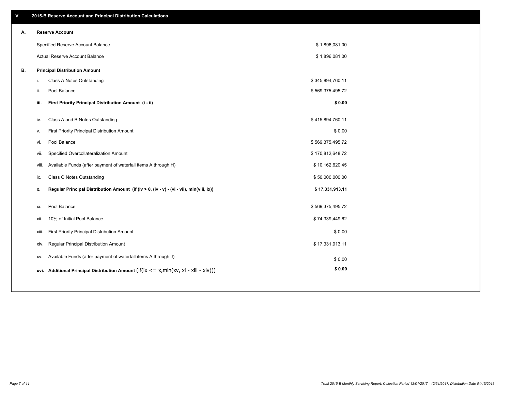| ٧. |       | 2015-B Reserve Account and Principal Distribution Calculations                             |                  |  |
|----|-------|--------------------------------------------------------------------------------------------|------------------|--|
| А. |       | <b>Reserve Account</b>                                                                     |                  |  |
|    |       | Specified Reserve Account Balance                                                          | \$1,896,081.00   |  |
|    |       | Actual Reserve Account Balance                                                             | \$1,896,081.00   |  |
| В. |       | <b>Principal Distribution Amount</b>                                                       |                  |  |
|    | i.    | Class A Notes Outstanding                                                                  | \$345,894,760.11 |  |
|    | ii.   | Pool Balance                                                                               | \$569,375,495.72 |  |
|    | iii.  | First Priority Principal Distribution Amount (i - ii)                                      | \$0.00           |  |
|    |       |                                                                                            |                  |  |
|    | iv.   | Class A and B Notes Outstanding                                                            | \$415,894,760.11 |  |
|    | v.    | First Priority Principal Distribution Amount                                               | \$0.00           |  |
|    | vi.   | Pool Balance                                                                               | \$569,375,495.72 |  |
|    | vii.  | Specified Overcollateralization Amount                                                     | \$170,812,648.72 |  |
|    |       | Available Funds (after payment of waterfall items A through H)<br>viii.                    | \$10,162,620.45  |  |
|    | ix.   | <b>Class C Notes Outstanding</b>                                                           | \$50,000,000.00  |  |
|    | x.    | Regular Principal Distribution Amount (if (iv > 0, (iv - v) - (vi - vii), min(viii, ix))   | \$17,331,913.11  |  |
|    | xi.   | Pool Balance                                                                               | \$569,375,495.72 |  |
|    | xii.  | 10% of Initial Pool Balance                                                                | \$74,339,449.62  |  |
|    |       |                                                                                            | \$0.00           |  |
|    | xiii. | First Priority Principal Distribution Amount                                               |                  |  |
|    | xiv.  | Regular Principal Distribution Amount                                                      | \$17,331,913.11  |  |
|    | XV.   | Available Funds (after payment of waterfall items A through J)                             | \$0.00           |  |
|    |       | xvi. Additional Principal Distribution Amount (if(ix $\lt$ = x, min(xv, xi - xiii - xiv))) | \$0.00           |  |
|    |       |                                                                                            |                  |  |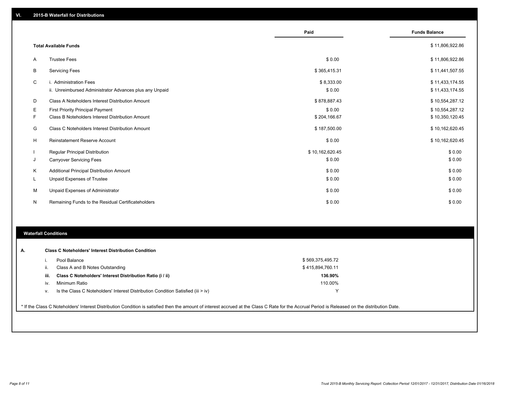|           |                                                         | Paid            | <b>Funds Balance</b> |
|-----------|---------------------------------------------------------|-----------------|----------------------|
|           |                                                         |                 |                      |
|           | <b>Total Available Funds</b>                            |                 | \$11,806,922.86      |
| A         | <b>Trustee Fees</b>                                     | \$0.00          | \$11,806,922.86      |
| B         | <b>Servicing Fees</b>                                   | \$365,415.31    | \$11,441,507.55      |
| C         | i. Administration Fees                                  | \$8,333.00      | \$11,433,174.55      |
|           | ii. Unreimbursed Administrator Advances plus any Unpaid | \$0.00          | \$11,433,174.55      |
| D         | Class A Noteholders Interest Distribution Amount        | \$878,887.43    | \$10,554,287.12      |
| Ε         | <b>First Priority Principal Payment</b>                 | \$0.00          | \$10,554,287.12      |
| F         | Class B Noteholders Interest Distribution Amount        | \$204,166.67    | \$10,350,120.45      |
| G         | Class C Noteholders Interest Distribution Amount        | \$187,500.00    | \$10,162,620.45      |
| н         | <b>Reinstatement Reserve Account</b>                    | \$0.00          | \$10,162,620.45      |
|           | <b>Regular Principal Distribution</b>                   | \$10,162,620.45 | \$0.00               |
| J         | <b>Carryover Servicing Fees</b>                         | \$0.00          | \$0.00               |
| K         | Additional Principal Distribution Amount                | \$0.00          | \$0.00               |
| ч.        | Unpaid Expenses of Trustee                              | \$0.00          | \$0.00               |
| М         | Unpaid Expenses of Administrator                        | \$0.00          | \$0.00               |
| ${\sf N}$ | Remaining Funds to the Residual Certificateholders      | \$0.00          | \$0.00               |

#### **Waterfall Conditions**

| А. | <b>Class C Noteholders' Interest Distribution Condition</b>                                                                                                                                     |                  |
|----|-------------------------------------------------------------------------------------------------------------------------------------------------------------------------------------------------|------------------|
|    | Pool Balance                                                                                                                                                                                    | \$569,375,495.72 |
|    | Class A and B Notes Outstanding<br>ii.                                                                                                                                                          | \$415,894,760.11 |
|    | Class C Noteholders' Interest Distribution Ratio (i / ii)<br>iii.                                                                                                                               | 136.90%          |
|    | Minimum Ratio<br>iv.                                                                                                                                                                            | 110.00%          |
|    | Is the Class C Noteholders' Interest Distribution Condition Satisfied (iii > iv)<br>v.                                                                                                          | $\checkmark$     |
|    |                                                                                                                                                                                                 |                  |
|    | * If the Class C Noteholders' Interest Distribution Condition is satisfied then the amount of interest accrued at the Class C Rate for the Accrual Period is Released on the distribution Date. |                  |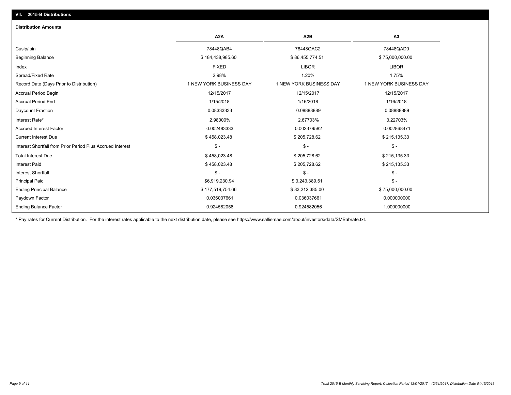## Ending Balance Factor Paydown Factor 0.036037661 0.036037661 0.000000000 Ending Principal Balance \$ 77,519,754.66 \$83,212,385.00 \$75,000,000.00 \$75,000,000.00 Principal Paid \$6,919,230.94 \$ 3,243,389.51 \$ - Interest Shortfall \$ - \$ - \$ - Interest Paid \$158,023.48 \$ 205,728.62 \$ 205,728.62 \$ 205,728.62 \$ 205,135.33 Total Interest Due \$ 458,023.48 \$ 205,728.62 \$ 215,135.33 Interest Shortfall from Prior Period Plus Accrued Interest \$ - \$ - \$ - Current Interest Due \$ 458,023.48 \$ 205,728.62 \$ 215,135.33 Accrued Interest Factor 0.002483333 0.002379582 0.002868471 Interest Rate\* 2.98000% 2.67703% 3.22703% Daycount Fraction 0.08333333 0.08888889 0.08888889 Accrual Period End 1/15/2018 1/16/2018 1/16/2018 Accrual Period Begin 2/15/2017 12/15/2017 12/15/2017 12/15/2017 12/15/2017 12/15/2017 12/15/2017 Record Date (Days Prior to Distribution) 1 1 NEW YORK BUSINESS DAY 1 NEW YORK BUSINESS DAY 1 NEW YORK BUSINESS DAY Spread/Fixed Rate 2.98% 1.20% 1.75% Index FIXED LIBOR LIBOR Beginning Balance \$ 75,000,000.00 \$ \$ \$ 86,455,774.51 \$ \$ 86,455,774.51 \$ \$ 75,000,000.00 Cusip/Isin 78448QAB4 78448QAC2 78448QAD0 **A2A A2B A3** 0.924582056 0.924582056 1.000000000 **Distribution Amounts**

\* Pay rates for Current Distribution. For the interest rates applicable to the next distribution date, please see https://www.salliemae.com/about/investors/data/SMBabrate.txt.

**VII. 2015-B Distributions**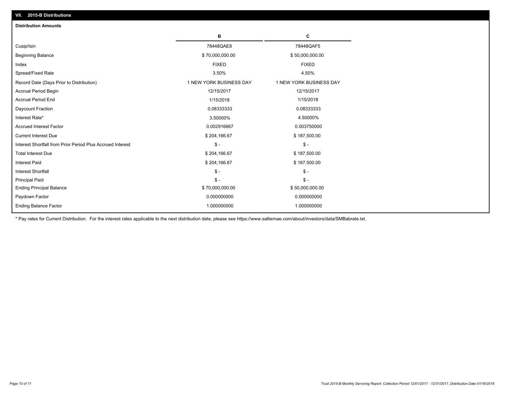| <b>Distribution Amounts</b>                                |                         |                         |
|------------------------------------------------------------|-------------------------|-------------------------|
|                                                            | в                       | С                       |
| Cusip/Isin                                                 | 78448QAE8               | 78448QAF5               |
| <b>Beginning Balance</b>                                   | \$70,000,000.00         | \$50,000,000.00         |
| Index                                                      | <b>FIXED</b>            | <b>FIXED</b>            |
| Spread/Fixed Rate                                          | 3.50%                   | 4.50%                   |
| Record Date (Days Prior to Distribution)                   | 1 NEW YORK BUSINESS DAY | 1 NEW YORK BUSINESS DAY |
| Accrual Period Begin                                       | 12/15/2017              | 12/15/2017              |
| <b>Accrual Period End</b>                                  | 1/15/2018               | 1/15/2018               |
| Daycount Fraction                                          | 0.08333333              | 0.08333333              |
| Interest Rate*                                             | 3.50000%                | 4.50000%                |
| <b>Accrued Interest Factor</b>                             | 0.002916667             | 0.003750000             |
| <b>Current Interest Due</b>                                | \$204,166.67            | \$187,500.00            |
| Interest Shortfall from Prior Period Plus Accrued Interest | $\mathsf{\$}$ -         | $$ -$                   |
| <b>Total Interest Due</b>                                  | \$204,166.67            | \$187,500.00            |
| <b>Interest Paid</b>                                       | \$204,166.67            | \$187,500.00            |
| <b>Interest Shortfall</b>                                  | $\mathsf{\$}$ -         | $$ -$                   |
| <b>Principal Paid</b>                                      | $S -$                   | $$ -$                   |
| <b>Ending Principal Balance</b>                            | \$70,000,000.00         | \$50,000,000.00         |
| Paydown Factor                                             | 0.000000000             | 0.000000000             |
| <b>Ending Balance Factor</b>                               | 1.000000000             | 1.000000000             |

\* Pay rates for Current Distribution. For the interest rates applicable to the next distribution date, please see https://www.salliemae.com/about/investors/data/SMBabrate.txt.

**VII. 2015-B Distributions**